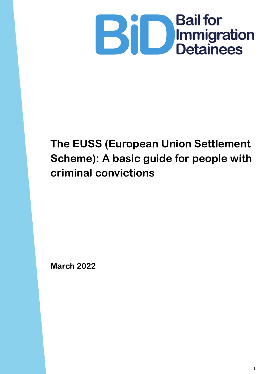

# **The EUSS (European Union Settlement Scheme): A basic guide for people with criminal convictions**

**March 2022**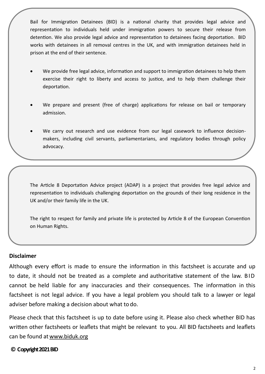Bail for Immigration Detainees (BID) is a national charity that provides legal advice and representation to individuals held under immigration powers to secure their release from detention. We also provide legal advice and representation to detainees facing deportation. BID works with detainees in all removal centres in the UK, and with immigration detainees held in prison at the end of their sentence.

- We provide free legal advice, information and support to immigration detainees to help them exercise their right to liberty and access to justice, and to help them challenge their deportation.
- We prepare and present (free of charge) applications for release on bail or temporary admission.
- We carry out research and use evidence from our legal casework to influence decisionmakers, including civil servants, parliamentarians, and regulatory bodies through policy advocacy.

The Article 8 Deportation Advice project (ADAP) is a project that provides free legal advice and representation to individuals challenging deportation on the grounds of their long residence in the UK and/or their family life in the UK.

The right to respect for family and private life is protected by Article 8 of the European Convention on Human Rights.

#### **Disclaimer**

Although every effort is made to ensure the information in this factsheet is accurate and up to date, it should not be treated as a complete and authoritative statement of the law. B ID cannot be held liable for any inaccuracies and their consequences. The information in this factsheet is not legal advice. If you have a legal problem you should talk to a lawyer or legal adviser before making a decision about what to do.

Please check that this factsheet is up to date before using it. Please also check whether BID has written other factsheets or leaflets that might be relevant to you. All BID factsheets and leaflets can be found at [www.biduk.org](http://www.biduk.org/)

#### **© Copyright 2021 BID**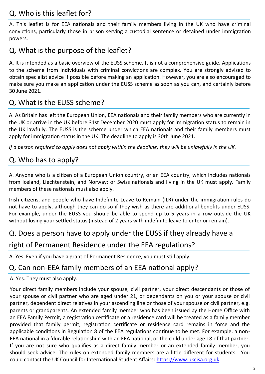### Q. Who is this leaflet for?

A. This leaflet is for EEA nationals and their family members living in the UK who have criminal convictions, particularly those in prison serving a custodial sentence or detained under immigration powers.

## Q. What is the purpose of the leaflet?

A. It is intended as a basic overview of the EUSS scheme. It is not a comprehensive guide. Applications to the scheme from individuals with criminal convictions are complex. You are strongly advised to obtain specialist advice if possible before making an application. However, you are also encouraged to make sure you make an application under the EUSS scheme as soon as you can, and certainly before 30 June 2021.

### Q. What is the EUSS scheme?

A. As Britain has left the European Union, EEA nationals and their family members who are currently in the UK or arrive in the UK before 31st December 2020 must apply for immigration status to remain in the UK lawfully. The EUSS is the scheme under which EEA nationals and their family members must apply for immigration status in the UK. The deadline to apply is 30th June 2021.

*If a person required to apply does not apply within the deadline, they will be unlawfully in the UK.*

### Q. Who has to apply?

A. Anyone who is a citizen of a European Union country, or an EEA country, which includes nationals from Iceland, Liechtenstein, and Norway; or Swiss nationals and living in the UK must apply. Family members of these nationals must also apply.

Irish citizens, and people who have Indefinite Leave to Remain (ILR) under the immigration rules do not have to apply, although they can do so if they wish as there are additional benefits under EUSS. For example, under the EUSS you should be able to spend up to 5 years in a row outside the UK without losing your settled status (instead of 2 years with indefinite leave to enter or remain).

#### Q. Does a person have to apply under the EUSS if they already have a

#### right of Permanent Residence under the EEA regulations?

A. Yes. Even if you have a grant of Permanent Residence, you must still apply.

#### Q. Can non-EEA family members of an EEA national apply?

A. Yes. They must also apply.

Your direct family members include your spouse, civil partner, your direct descendants or those of your spouse or civil partner who are aged under 21, or dependants on you or your spouse or civil partner, dependent direct relatives in your ascending line or those of your spouse or civil partner, e.g. parents or grandparents. An extended family member who has been issued by the Home Office with an EEA Family Permit, a registration certificate or a residence card will be treated as a family member provided that family permit, registration certificate or residence card remains in force and the applicable conditions in Regulation 8 of the EEA regulations continue to be met. For example, a non-EEA national in a 'durable relationship' with an EEA national, or the child under age 18 of that partner. If you are not sure who qualifies as a direct family member or an extended family member, you should seek advice. The rules on extended family members are a little different for students. You could contact the UK Council for International Student Affairs: [https://www.ukcisa.org.uk.](https://www.ukcisa.org.uk])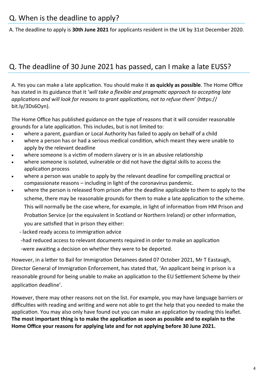A. The deadline to apply is **30th June 2021** for applicants resident in the UK by 31st December 2020.

### Q. The deadline of 30 June 2021 has passed, can I make a late EUSS?

A. Yes you can make a late application. You should make it **as quickly as possible**. The Home Office has stated in its guidance that it '*will take a flexible and pragmatic approach to accepting late applications and will look for reasons to grant applications, not to refuse them*' (https:// bit.ly/3Ds6Oyn).

The Home Office has published guidance on the type of reasons that it will consider reasonable grounds for a late application. This includes, but is not limited to:

- where a parent, guardian or Local Authority has failed to apply on behalf of a child
- where a person has or had a serious medical condition, which meant they were unable to apply by the relevant deadline
- where someone is a victim of modern slavery or is in an abusive relationship
- where someone is isolated, vulnerable or did not have the digital skills to access the application process
- where a person was unable to apply by the relevant deadline for compelling practical or compassionate reasons – including in light of the coronavirus pandemic.
- where the person is released from prison after the deadline applicable to them to apply to the scheme, there may be reasonable grounds for them to make a late application to the scheme. This will normally be the case where, for example, in light of information from HM Prison and Probation Service (or the equivalent in Scotland or Northern Ireland) or other information, you are satisfied that in prison they either:
	- lacked ready access to immigration advice
	- -had reduced access to relevant documents required in order to make an application
	- -were awaiting a decision on whether they were to be deported.

However, in a letter to Bail for Immigration Detainees dated 07 October 2021, Mr T Eastaugh, Director General of Immigration Enforcement, has stated that, 'An applicant being in prison is a reasonable ground for being unable to make an application to the EU Settlement Scheme by their application deadline'.

However, there may other reasons not on the list. For example, you may have language barriers or difficulties with reading and writing and were not able to get the help that you needed to make the application. You may also only have found out you can make an application by reading this leaflet. **The most important thing is to make the application as soon as possible and to explain to the Home Office your reasons for applying late and for not applying before 30 June 2021.**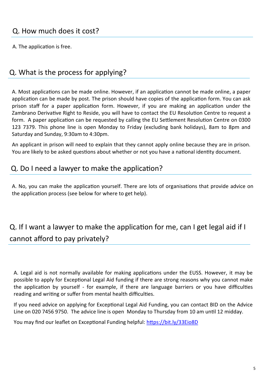A. The application is free.

### Q. What is the process for applying?

A. Most applications can be made online. However, if an application cannot be made online, a paper application can be made by post. The prison should have copies of the application form. You can ask prison staff for a paper application form. However, if you are making an application under the Zambrano Derivative Right to Reside, you will have to contact the EU Resolution Centre to request a form. A paper application can be requested by calling the EU Settlement Resolution Centre on 0300 123 7379. This phone line is open Monday to Friday (excluding bank holidays), 8am to 8pm and Saturday and Sunday, 9:30am to 4:30pm.

An applicant in prison will need to explain that they cannot apply online because they are in prison. You are likely to be asked questions about whether or not you have a national identity document.

#### Q. Do I need a lawyer to make the application?

A. No, you can make the application yourself. There are lots of organisations that provide advice on the application process (see below for where to get help).

# Q. If I want a lawyer to make the application for me, can I get legal aid if I cannot afford to pay privately?

A. Legal aid is not normally available for making applications under the EUSS. However, it may be possible to apply for Exceptional Legal Aid funding if there are strong reasons why you cannot make the application by yourself - for example, if there are language barriers or you have difficulties reading and writing or suffer from mental health difficulties.

If you need advice on applying for Exceptional Legal Aid Funding, you can contact BID on the Advice Line on 020 7456 9750. The advice line is open Monday to Thursday from 10 am until 12 midday.

You may find our leaflet on Exceptional Funding helpful:<https://bit.ly/33Eio8D>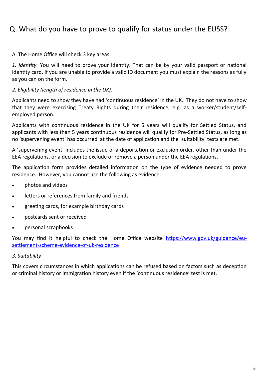### Q. What do you have to prove to qualify for status under the EUSS?

A. The Home Office will check 3 key areas:

*1. Identity.* You will need to prove your identity. That can be by your valid passport or national identity card. If you are unable to provide a valid ID document you must explain the reasons as fully as you can on the form.

*2. Eligibility (length of residence in the UK).*

Applicants need to show they have had 'continuous residence' in the UK. They do not have to show that they were exercising Treaty Rights during their residence, e.g. as a worker/student/selfemployed person.

Applicants with continuous residence in the UK for 5 years will qualify for Settled Status, and applicants with less than 5 years continuous residence will qualify for Pre-Settled Status, as long as no 'supervening event' has occurred at the date of application and the 'suitability' tests are met.

A 'supervening event' includes the issue of a deportation or exclusion order, other than under the EEA regulations, or a decision to exclude or remove a person under the EEA regulations.

The application form provides detailed information on the type of evidence needed to prove residence. However, you cannot use the following as evidence:

- photos and videos
- letters or references from family and friends
- greeting cards, for example birthday cards
- postcards sent or received
- personal scrapbooks

You may find it helpful to check the Home Office website [https://www.gov.uk/guidance/eu](https://www.gov.uk/guidance/eu-settlement-scheme-evidence-of-uk-residence)[settlement](https://www.gov.uk/guidance/eu-settlement-scheme-evidence-of-uk-residence)-scheme-evidence-of-uk-residence

#### *3. Suitability*

This covers circumstances in which applications can be refused based on factors such as deception or criminal history or immigration history even if the 'continuous residence' test is met.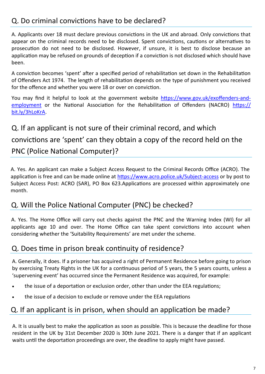### Q. Do criminal convictions have to be declared?

A. Applicants over 18 must declare previous convictions in the UK and abroad. Only convictions that appear on the criminal records need to be disclosed. Spent convictions, cautions or alternatives to prosecution do not need to be disclosed. However, if unsure, it is best to disclose because an application may be refused on grounds of deception if a conviction is not disclosed which should have been.

A conviction becomes 'spent' after a specified period of rehabilitation set down in the Rehabilitation of Offenders Act 1974. The length of rehabilitation depends on the type of punishment you received for the offence and whether you were 18 or over on conviction.

You may find it helpful to look at the government website [https://www.gov.uk/exoffenders](https://www.gov.uk/exoffenders-and-employment)-and[employment](https://www.gov.uk/exoffenders-and-employment) or the National Association for the Rehabilitation of Offenders (NACRO) [https://](https://bit.ly/3hLoKrA) [bit.ly/3hLoKrA.](https://bit.ly/3hLoKrA)

Q. If an applicant is not sure of their criminal record, and which convictions are 'spent' can they obtain a copy of the record held on the PNC (Police National Computer)?

A. Yes. An applicant can make a Subject Access Request to the Criminal Records Office (ACRO). The application is free and can be made online at [https://www.acro.police.uk/Subject](https://www.acro.police.uk/Subject-access)-access or by post to Subject Access Post: ACRO (SAR), PO Box 623.Applications are processed within approximately one month.

### Q. Will the Police National Computer (PNC) be checked?

A. Yes. The Home Office will carry out checks against the PNC and the Warning Index (WI) for all applicants age 10 and over. The Home Office can take spent convictions into account when considering whether the 'Suitability Requirements' are met under the scheme.

#### Q. Does time in prison break continuity of residence?

A. Generally, it does. If a prisoner has acquired a right of Permanent Residence before going to prison by exercising Treaty Rights in the UK for a continuous period of 5 years, the 5 years counts, unless a 'supervening event' has occurred since the Permanent Residence was acquired, for example:

- the issue of a deportation or exclusion order, other than under the EEA regulations;
- the issue of a decision to exclude or remove under the EEA regulations

#### Q. If an applicant is in prison, when should an application be made?

A. It is usually best to make the application as soon as possible. This is because the deadline for those resident in the UK by 31st December 2020 is 30th June 2021. There is a danger that if an applicant waits until the deportation proceedings are over, the deadline to apply might have passed.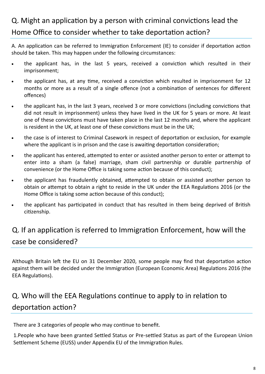# Q. Might an application by a person with criminal convictions lead the Home Office to consider whether to take deportation action?

A. An application can be referred to Immigration Enforcement (IE) to consider if deportation action should be taken. This may happen under the following circumstances:

- the applicant has, in the last 5 years, received a conviction which resulted in their imprisonment;
- the applicant has, at any time, received a conviction which resulted in imprisonment for 12 months or more as a result of a single offence (not a combination of sentences for different offences)
- the applicant has, in the last 3 years, received 3 or more convictions (including convictions that did not result in imprisonment) unless they have lived in the UK for 5 years or more. At least one of these convictions must have taken place in the last 12 months and, where the applicant is resident in the UK, at least one of these convictions must be in the UK;
- the case is of interest to Criminal Casework in respect of deportation or exclusion, for example where the applicant is in prison and the case is awaiting deportation consideration;
- the applicant has entered, attempted to enter or assisted another person to enter or attempt to enter into a sham (a false) marriage, sham civil partnership or durable partnership of convenience (or the Home Office is taking some action because of this conduct);
- the applicant has fraudulently obtained, attempted to obtain or assisted another person to obtain or attempt to obtain a right to reside in the UK under the EEA Regulations 2016 (or the Home Office is taking some action because of this conduct);
- the applicant has participated in conduct that has resulted in them being deprived of British citizenship.

# Q. If an application is referred to Immigration Enforcement, how will the case be considered?

Although Britain left the EU on 31 December 2020, some people may find that deportation action against them will be decided under the Immigration (European Economic Area) Regulations 2016 (the EEA Regulations).

# Q. Who will the EEA Regulations continue to apply to in relation to deportation action?

There are 3 categories of people who may continue to benefit.

1.People who have been granted Settled Status or Pre-settled Status as part of the European Union Settlement Scheme (EUSS) under Appendix EU of the Immigration Rules.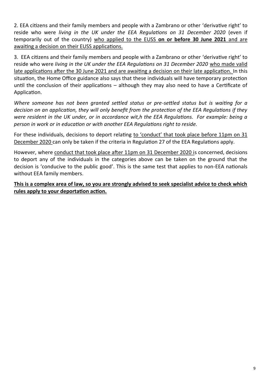2. EEA citizens and their family members and people with a Zambrano or other 'derivative right' to reside who were *living in the UK under the EEA Regulations on 31 December 2020* (even if temporarily out of the country) who applied to the EUSS **on or before 30 June 2021** and are awaiting a decision on their EUSS applications.

3. EEA citizens and their family members and people with a Zambrano or other 'derivative right' to reside who were *living in the UK under the EEA Regulations on 31 December 2020* who made valid late applications after the 30 June 2021 and are awaiting a decision on their late application. In this situation, the Home Office guidance also says that these individuals will have temporary protection until the conclusion of their applications – although they may also need to have a Certificate of Application.

*Where someone has not been granted settled status or pre-settled status but is waiting for a decision on an application, they will only benefit from the protection of the EEA Regulations if they were resident in the UK under, or in accordance wit,h the EEA Regulations. For example: being a person in work or in education or with another EEA Regulations right to reside.* 

For these individuals, decisions to deport relating to 'conduct' that took place before 11pm on 31 December 2020 can only be taken if the criteria in Regulation 27 of the EEA Regulations apply.

However, where conduct that took place after 11pm on 31 December 2020 is concerned, decisions to deport any of the individuals in the categories above can be taken on the ground that the decision is 'conducive to the public good'. This is the same test that applies to non-EEA nationals without EEA family members.

**This is a complex area of law, so you are strongly advised to seek specialist advice to check which rules apply to your deportation action.**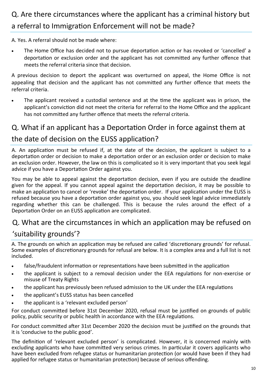# Q. Are there circumstances where the applicant has a criminal history but a referral to Immigration Enforcement will not be made?

A. Yes. A referral should not be made where:

• The Home Office has decided not to pursue deportation action or has revoked or 'cancelled' a deportation or exclusion order and the applicant has not committed any further offence that meets the referral criteria since that decision.

A previous decision to deport the applicant was overturned on appeal, the Home Office is not appealing that decision and the applicant has not committed any further offence that meets the referral criteria.

The applicant received a custodial sentence and at the time the applicant was in prison, the applicant's conviction did not meet the criteria for referral to the Home Office and the applicant has not committed any further offence that meets the referral criteria.

### Q. What if an applicant has a Deportation Order in force against them at

#### the date of decision on the EUSS application?

A. An application must be refused if, at the date of the decision, the applicant is subject to a deportation order or decision to make a deportation order or an exclusion order or decision to make an exclusion order. However, the law on this is complicated so it is very important that you seek legal advice if you have a Deportation Order against you.

You may be able to appeal against the deportation decision, even if you are outside the deadline given for the appeal. If you cannot appeal against the deportation decision, it may be possible to make an application to cancel or 'revoke' the deportation order. If your application under the EUSS is refused because you have a deportation order against you, you should seek legal advice immediately regarding whether this can be challenged. This is because the rules around the effect of a Deportation Order on an EUSS application are complicated.

#### Q. What are the circumstances in which an application may be refused on

#### 'suitability grounds'?

A. The grounds on which an application may be refused are called 'discretionary grounds' for refusal. Some examples of discretionary grounds for refusal are below. It is a complex area and a full list is not included.

- false/fraudulent information or representations have been submitted in the application
- the applicant is subject to a removal decision under the EEA regulations for non-exercise or misuse of Treaty Rights
- the applicant has previously been refused admission to the UK under the EEA regulations
- the applicant's EUSS status has been cancelled
- the applicant is a 'relevant excluded person'

For conduct committed before 31st December 2020, refusal must be justified on grounds of public policy, public security or public health in accordance with the EEA regulations.

For conduct committed after 31st December 2020 the decision must be justified on the grounds that it is 'conducive to the public good'.

The definition of 'relevant excluded person' is complicated. However, it is concerned mainly with excluding applicants who have committed very serious crimes. In particular it covers applicants who have been excluded from refugee status or humanitarian protection (or would have been if they had applied for refugee status or humanitarian protection) because of serious offending.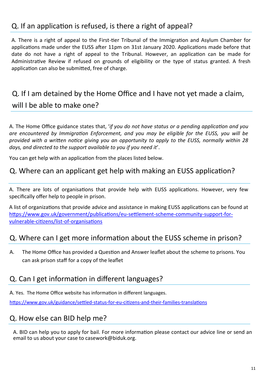### Q. If an application is refused, is there a right of appeal?

A. There is a right of appeal to the First-tier Tribunal of the Immigration and Asylum Chamber for applications made under the EUSS after 11pm on 31st January 2020. Applications made before that date do not have a right of appeal to the Tribunal. However, an application can be made for Administrative Review if refused on grounds of eligibility or the type of status granted. A fresh application can also be submitted, free of charge.

# Q. If I am detained by the Home Office and I have not yet made a claim, will I be able to make one?

A. The Home Office guidance states that, '*if you do not have status or a pending application and you are encountered by Immigration Enforcement, and you may be eligible for the EUSS, you will be provided with a written notice giving you an opportunity to apply to the EUSS, normally within 28 days, and directed to the support available to you if you need it*'.

You can get help with an application from the places listed below.

#### Q. Where can an applicant get help with making an EUSS application?

A. There are lots of organisations that provide help with EUSS applications. However, very few specifically offer help to people in prison.

A list of organizations that provide advice and assistance in making EUSS applications can be found at [https://www.gov.uk/government/publications/eu](https://www.gov.uk/government/publications/eu-settlement-scheme-community-support-for-vulnerable-citizens/list-of-organisations)-settlement-scheme-community-support-forvulnerable-citizens/list-of-[organisations](https://www.gov.uk/government/publications/eu-settlement-scheme-community-support-for-vulnerable-citizens/list-of-organisations)

#### Q. Where can I get more information about the EUSS scheme in prison?

A. The Home Office has provided a Question and Answer leaflet about the scheme to prisons. You can ask prison staff for a copy of the leaflet

#### Q. Can I get information in different languages?

A. Yes. The Home Office website has information in different languages.

[https://www.gov.uk/guidance/settled](https://www.gov.uk/guidance/settled-status-for-eu-citizens-and-their-families-translations)-status-for-eu-citizens-and-their-families-translations

#### Q. How else can BID help me?

A. BID can help you to apply for bail. For more information please contact our advice line or send an email to us about your case to casework@biduk.org.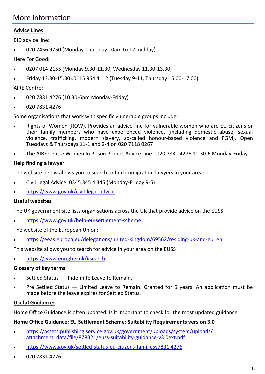### More information

#### **Advice Lines:**

BID advice line:

• 020 7456 9750 (Monday-Thursday 10am to 12 midday)

Here For Good:

- 0207 014 2155 (Monday 9.30-11.30, Wednesday 11.30-13.30,
- Friday 13.30-15.30).0115 964 4112 (Tuesday 9-11, Thursday 15.00-17.00).

#### AIRE Centre:

- 020 7831 4276 (10.30-6pm Monday-Friday)
- 020 7831 4276

Some organisations that work with specific vulnerable groups include:

- Rights of Women (ROW). Provides an advice line for vulnerable women who are EU citizens or their family members who have experienced violence, (including domestic abuse, sexual violence, trafficking, modern slavery, so-called honour-based violence and FGM). Open Tuesdays & Thursdays 11-1 and 2-4 on 020 7118 0267
- The AIRE Centre Women In Prison Project Advice Line 020 7831 4276 10.30-6 Monday-Friday.

#### **Help finding a lawyer**

The website below allows you to search to find immigration lawyers in your area:

- Civil Legal Advice: 0345 345 4 345 (Monday-Friday 9-5)
- [https://www.gov.uk/civil](https://www.gov.uk/civil-legal-advice)-legal-advice

#### **Useful websites**

The UK government site lists organisations across the UK that provide advice on the EUSS

• [https://www.gov.uk/help](https://www.gov.uk/help-eu-settlement-scheme)-eu-settlement-scheme

The website of the European Union:

• [https://eeas.europa.eu/delegations/united](https://eeas.europa.eu/delegations/united-kingdom/69562/residing-uk-and-eu_en)-kingdom/69562/residing-uk-and-eu\_en

This website allows you to search for advice in your area on the EUSS

• <https://www.eurights.uk/#search>

#### **Glossary of key terms**

- Settled Status Indefinite Leave to Remain.
- Pre Settled Status Limited Leave to Remain. Granted for 5 years. An application must be made before the leave expires for Settled Status.

#### **Useful Guidance:**

Home Office Guidance is often updated. Is it important to check for the most updated guidance.

#### **Home Office Guidance: EU Settlement Scheme: Suitability Requirements version 3.0**

- [https://assets.publishing.service.gov.uk/government/uploads/system/uploads/](https://assets.publishing.service.gov.uk/government/uploads/system/uploads/attachment_data/file/878321/euss-suitability-guidance-v3.0ext.pdf) [attachment\\_data/file/878321/euss](https://assets.publishing.service.gov.uk/government/uploads/system/uploads/attachment_data/file/878321/euss-suitability-guidance-v3.0ext.pdf)-suitability-guidance-v3.0ext.pdf
- https://www.gov.uk/settled-status-eu-citizens-familiesv7831 4276
- 020 7831 4276